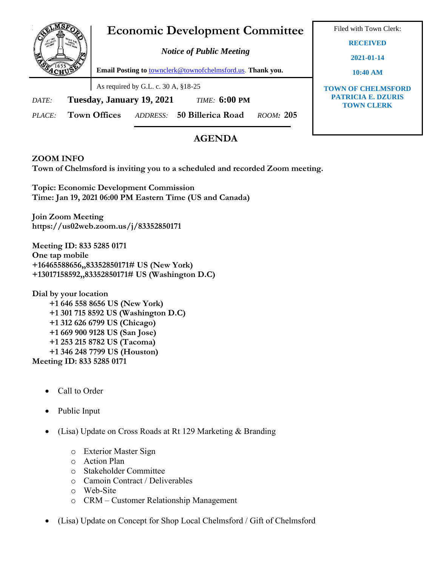## **Economic Development Committee**

*Notice of Public Meeting*

**Email Posting to** [townclerk@townofchelmsford.us.](mailto:townclerk@townofchelmsford.us) **Thank you.**

As required by G.L. c. 30 A, §18-25

*DATE:* **Tuesday, January 19, 2021** *TIME:* **6:00 PM**

*PLACE:* **Town Offices** *ADDRESS:* **50 Billerica Road** *ROOM:* **205**

## **AGENDA**

## **ZOOM INFO**

**Town of Chelmsford is inviting you to a scheduled and recorded Zoom meeting.**

**Topic: Economic Development Commission Time: Jan 19, 2021 06:00 PM Eastern Time (US and Canada)**

**Join Zoom Meeting https://us02web.zoom.us/j/83352850171**

**Meeting ID: 833 5285 0171 One tap mobile +16465588656,,83352850171# US (New York) +13017158592,,83352850171# US (Washington D.C)**

**Dial by your location +1 646 558 8656 US (New York) +1 301 715 8592 US (Washington D.C) +1 312 626 6799 US (Chicago) +1 669 900 9128 US (San Jose) +1 253 215 8782 US (Tacoma) +1 346 248 7799 US (Houston) Meeting ID: 833 5285 0171**

- Call to Order
- Public Input
- (Lisa) Update on Cross Roads at Rt 129 Marketing & Branding
	- o Exterior Master Sign
	- o Action Plan
	- o Stakeholder Committee
	- o Camoin Contract / Deliverables
	- o Web-Site
	- o CRM Customer Relationship Management
- (Lisa) Update on Concept for Shop Local Chelmsford / Gift of Chelmsford

Filed with Town Clerk:

**RECEIVED**

**2021-01-14**

**10:40 AM**

**TOWN OF CHELMSFORD PATRICIA E. DZURIS TOWN CLERK**